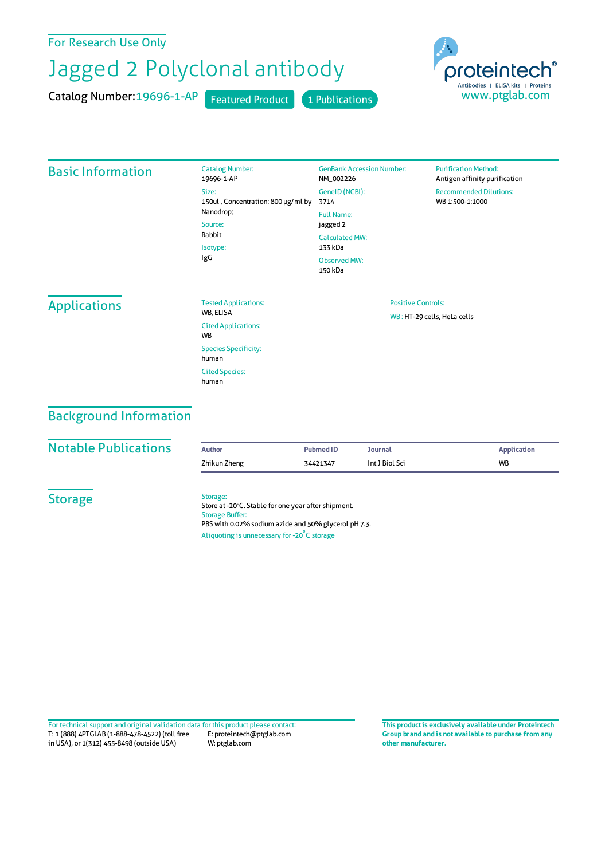### For Research Use Only

# Jagged 2 Polyclonal antibody

Catalog Number: 19696-1-AP Featured Product 1 Publications



#### Basic Information Catalog Number: 19696-1-AP Size: 150ul , Concentration: 800 μg/ml by 3714 Nanodrop; Source: Rabbit Isotype: IgG GenBank Accession Number: NM\_002226 GeneID(NCBI): Full Name: jagged 2 CalculatedMW: 133 kDa Observed MW: 150 kDa **Purification Method:** Antigen affinity purification Recommended Dilutions: WB 1:500-1:1000 Applications Tested Applications: WB, ELISA Cited Applications: WB Species Specificity: human Cited Species: human Positive Controls: WB : HT-29 cells, HeLa cells

### Background Information

| <b>Notable Publications</b> | <b>Author</b> | Pubmed ID | Journal        | <b>Application</b> |
|-----------------------------|---------------|-----------|----------------|--------------------|
|                             | Zhikun Zheng  | 34421347  | Int J Biol Sci | <b>WB</b>          |
|                             |               |           |                |                    |

**Storage** 

#### Storage:

Store at -20°C. Stable for one year after shipment. Storage Buffer: PBS with 0.02% sodium azide and 50% glycerol pH 7.3. Aliquoting is unnecessary for -20<sup>°</sup>C storage

T: 1 (888) 4PTGLAB (1-888-478-4522) (toll free in USA), or 1(312) 455-8498 (outside USA) E: proteintech@ptglab.com W: ptglab.com Fortechnical support and original validation data forthis product please contact: **This productis exclusively available under Proteintech**

**Group brand and is not available to purchase from any other manufacturer.**